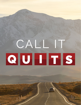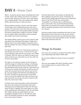### **DAY 1-** *Know God*

Worry… Everyone worries about something from time to time. Some call it "being concerned" so it doesn't sound as bad. However, for some, worry and anxiety are a constant battle. They worry about work, about family, about the price of candy and more.

Worry produces anxiety, a vicious cycle that seems to feed upon worry making the person even more anxious. The more they worry the more worried they become until the worry and anxiety finally consumes the person making them unable to function. Maybe you can relate, either personally or know someone who suffers from worry and anxiety.

And simply telling a person not to worry doesn't help stop them from worrying. Worrying is a habit and a lifestyle that is not easily stopped. The good news is that the solution for worry is found in our relationship with God.

The Apostle Peter tells us to "Cast all your anxiety on him because he cares for you." (1 Pe 6:7). First, and most important, God cares for you. God is our "Father in Heaven" (Mt 6:9). And as our Father he wants only what is best for you. God wants you to live a life free of worry and anxiety.

The idea to "cast all your anxiety on him" brings to mind the image of a fisherman casting, or throwing a net. As the fisherman throws his net hard and away from himself he also lets go of the net. God wants you to throw your worries and anxiety as hard as you can away from yourself and on him. But be sure to let it go. Can you imagine the fisherman not letting go of the net? The idea is humorous, but for those that worry it can be the hardest part. But you have to let it go. And when you let go, you have to leave it with God. You must trust in God.

In Psalm 94 the writer describes a dark and perilous time when the wicked and evil doers seem to be winning and even taking pride in their evil. Yet even when his foot is slipping, the writer holds on to God as his unfailing love and support (v 18). He concludes that "When anxiety was great within me, your consolation brought me joy" (v 19). Did you catch that? The Psalmist found joy in God's consolation even in the worst of times.

One last thing. Worry and anxiety can literally feel like a millstone around one's neck. In Proverbs, we read "Anxiety weighs down the heart, but a kind word cheers it up." (Pro 12:25). You can be God's "consolation" to someone who is suffering from worry and anxiety. You can be that kind word that helps cheer up someone who needs it desperately. And it's amazing sometimes what a kind word can do for a person.

Everyone worries about something from time to time. But we don't have to let worry rule our lives. Know that God loves and cares for you and that God wants you to cast your cares and anxieties on him. So throw them hard and throw them far.

#### Things To Ponder

Has worry ever caused you anxiety? How did it affect your relationship with others? With God?

Do you find it difficult to let go of worry or anxiety? Why?

How can you engage with other Christians when you're feeling worry or anxiety? Why is this important?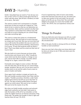# **DAY 2-** *Humility*

Earlier I described how we need to "Cast all your anxiety on him" (2 Pe 5:7). Most would agree that this is easier said than done. We all have a tendency to hold on to worry. But why?

The need to control one's environment is a foundational part of what we would call "original sin". That desire to be in control so that we can determine our own outcomes. Adam and Eve wanted to be like God. They wanted to control their lives without God. We can hold on to worry thinking we can control things and make everything right.

This want to control also points to a fundamental problem of trust. We may hold on to worry because we simply don't trust God. We may not trust that God can or will resolve the problem the way we want it resolved. We may find ourselves thinking, subconsciously of course, "If only God would do what we think is best". That's how Adam and Eve acted out their lack of trust in God.

We also hold on to worry because we know what must be done and choose not to. Why? Usually because what must be done requires a change on our part, and we don't like to change, we prefer others' change for us. Again, control over others.

Eventually worry begins to wear us down. We hold onto the false idea, the lie that we can control things, people, situations. But we can't. So we worry more as anxiety starts to set and the walls of worry seem to press in harder and harder.

Once again God's solution is simple yet hard to do. We must humble ourselves before God. Peter told his readers, "Humble yourselves, therefore, under God's mighty hand, that he may lift you up in due time" (2 Pe 5:6). The idea of being humble before God goes against our sinful nature. We want to be in control. We want to be the master of our life.

But when we finally humble ourselves and acknowledge God's authority we find relief. God wants to take the burdens of life off of our shoulders so that under his mighty hand we can find joy and peace. King David said, "He guides the humble in what is right and teaches them his way." (Ps 25:9).

If you're experiencing a time of worry and anxiety, know that God loves and cares for you. He wants you to take your anxiety to him and trade it for joy and peace as he lifts you up. Know that "the Lord takes delight in his people; he crowns the humble with victory" (Ps 149:4). You can experience victory over worry.

#### Things To Ponder

Have you held onto worry because you felt you could control the outcome? How did this affect you spiritually and physically?

Why is the grip of pride so strong and the act of being humble so hard sometimes?

Have you ever had a time when you know what must be done yet refuse to do it? Why and what were the consequences?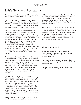### **DAY 3-** *Know Your Enemy*

Your enemy the devil prowls around like a roaring lion looking for someone to devour. (2 Pe 5:8).

In any war, it is always best to know your enemy. The more you know their strengths, weaknesses and their mind, the better you can plan. Not just for their attacks against you so you can better defend yourself, but so you can plan your attacks against them.

Jesus fully understood who he was and what his mission was. He was not dependent on cheering crowds or mankind's opinion of who he was. While nearing the earthly end of his ministry, Jesus asked his disciple who they thought he was? Peter, ever the first to speak, boldly proclaimed, ""You (Jesus) are the Messiah (the Anointed One), the Son of the living God." (Mt 16:16). Although Peter may not have fully understood the full meaning of what he was saying, he knew who Jesus was, who he claimed to be. Although Jesus knew who he was, it was important for his disciples to acknowledge and believe in who he was as this belief would come under attack soon enough.

The Bible doesn't give a lot of details, but from it we understand that the enemy of God is Satan. We also understand that Satan is not just the enemy of anyone who professes Jesus as their savior, but he is everyone's enemy. Whether Christian or not. For those that believe, Satan seeks to undermine their faith. For those that don't yet believe, Satan wants them to continue in sin. Regardless of your status, believer or not, he is always seeking to kill and destroy.

When speaking of Satan, Peter describes him as "Your enemy the devil prowls around like a roaring lion looking for someone to devour" (2 Pe 5:8). We see 3 things here about Satan. First, he is "your enemy", not just God's. He is the universal adversary of all. Second, the devil (Satan) never rests, but is always on the prowl, looking to see weakness, looking for a place to get a grip on one's life. Third, Satan will try and "devour" whoever he can lay hold too. Satan will try to use Chrsitians and non-Chrsitians as tools against each other.

Do you know your enemy - your real enemy? Satan would have you believe it's a family member, a

neighbor or co-worker, even other Christians. But our true enemy is Satan and the real battle is a spiritual battle. Therefore, as a Christian, we too fight a spiritual war (2 Cor 10:3). And our strength and victory is only through Jesus and the saving power of the cross (1 Cor 15:56).

Do you know your enemies weakness, strengths and mind? Never underestimate Satan. He knows our weakness, strengths and mind, and will use every tool at his disposal to get our focus away from God. Satan will look to use our weaknesses as a tool against us. But interestingly, it can be through our weaknesses where we can have the greatest victories as we allow God to give you strength (Heb 11:34).

#### Things To Ponder

Have you ever given much thought to Satan being the enemy of everyone, both Christians and non-believers? What does this tell you about who your real enemy is?

Think of the last time you were tempted. Why is it important to acknowledge Satan as the originator of the temptation?

If our's is a spiritual battle, then how does 1 Cor 10:3-6 show us how to fight?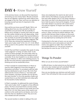### **DAY 4-** *Know Yourself*

In the previous lesson, we discussed the importance of knowing our true enemy Satan. We also reviewed that we are fighting a spiritual war which affects how we engage in this war. Now, we'll turn our attention to knowing yourself and why it's important in this spiritual war.

How well do you know yourself? Really? We're not talking about how you view yourself or how you would like to be perceived. We all would like to believe we're stronger or smarter than what we really are. But neither should we be self-deprecating , think of ourselves as weak or stupid. Paul warned believers, "Do not think of yourself more highly than you ought, but rather think of yourself with sober judgment" (Ro 12:3). Peter also stressed the importance of being  $"$ alert and of sober mind" (1 Pe 1:13, 4:7, 5:13). Which brings us back to the question: How well do you know yourself?

In both Paul and Peter's examples they speak of using "sober judgment" or being "of sober mind". In the context of these passages, the word sober refers to the mental state of one being clear headed and self controlled. To be clear headed is to not allow external things to influence or affect one's thinking process. To do this one must exercise a great deal of level headed thinking and not be emotionally driven.

In Paul's example he wanted believers in Rome to exercise sober judgment in how they thought of themselves and others "in accordance with the faith God has distributed to each of you" (Ro 12:3). Paul addressed the church in Rome as, "one body with many members, and these members do not all have the same function" (v 4) on the question of gifts and wanted them to use their individual and unique gifts for the benefit of other believers.

In Peter's examples, he addressed the need of being "alert and of sober mind" in regards to three different points. The first concerned Christ's second coming and their need to not conform to the world, but to be holy (1 Pe 1:13-16). Peter warns of the need to not conform to the world and its evil desires, but to live holy lives that are obedient to God. They are to be clear minded and self controlled.

The second mention is similar in talking of the end

times, but emphasizes the need to be alert and of sober mind so the believer can pray and above all, love each other deeply (2 Pe 4:7-8). Prayer requires a clear mind, one that is not distracted by the current, but is fully focused on God and his kingdom. To love each other deeply is to exercise self-control and to not easily be angered. To forgive each other when we're hurt.

The third and final mention is to understand who our enemy is, Satan, and how he attacks believers. We must be alert because Satan is always on the prowl. We must be clear minded and self controlled so that we may fight back by resisting him (2 Pe 5:8-9).

Coming back to the topic of worry, we can see and understand how worry and anxiety are tools the enemy uses against our faith. This is why Peter encouraged believers to "Cast all your anxiety on him because he cares for you." (2 Pe 5:6-7).

#### Things To Ponder

What can you do to know yourself better?

In difficult times, to what extent do you find yourself able to be clear minded and self controlled? Why do we react differently to different situations?

How can you develop your alertness and self-control quota? How will doing this help you grow spiritually?